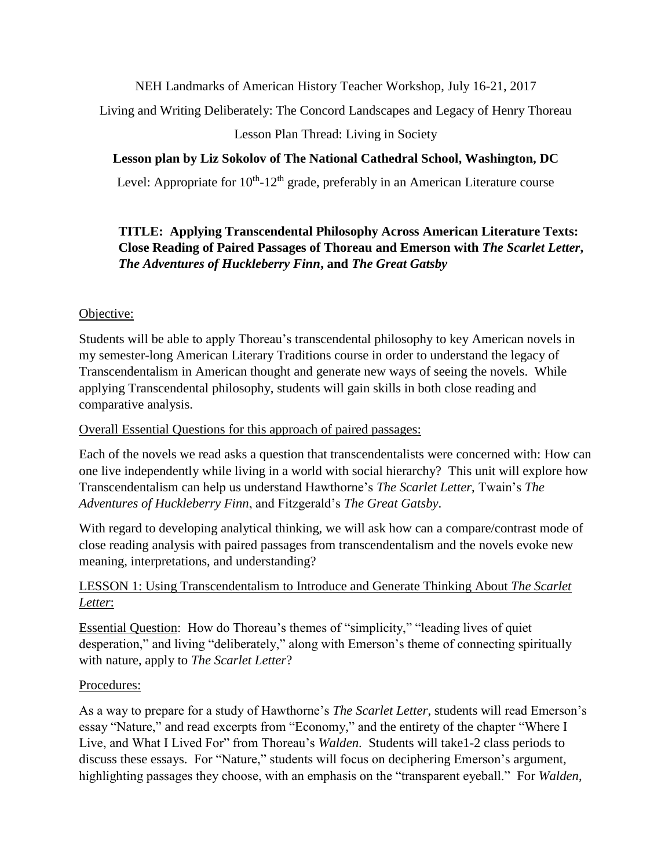NEH Landmarks of American History Teacher Workshop, July 16-21, 2017

Living and Writing Deliberately: The Concord Landscapes and Legacy of Henry Thoreau

Lesson Plan Thread: Living in Society

# **Lesson plan by Liz Sokolov of The National Cathedral School, Washington, DC**

Level: Appropriate for  $10^{th}$ -12<sup>th</sup> grade, preferably in an American Literature course

## **TITLE: Applying Transcendental Philosophy Across American Literature Texts: Close Reading of Paired Passages of Thoreau and Emerson with** *The Scarlet Letter***,**  *The Adventures of Huckleberry Finn***, and** *The Great Gatsby*

# Objective:

Students will be able to apply Thoreau's transcendental philosophy to key American novels in my semester-long American Literary Traditions course in order to understand the legacy of Transcendentalism in American thought and generate new ways of seeing the novels. While applying Transcendental philosophy, students will gain skills in both close reading and comparative analysis.

## Overall Essential Questions for this approach of paired passages:

Each of the novels we read asks a question that transcendentalists were concerned with: How can one live independently while living in a world with social hierarchy? This unit will explore how Transcendentalism can help us understand Hawthorne's *The Scarlet Letter*, Twain's *The Adventures of Huckleberry Finn*, and Fitzgerald's *The Great Gatsby*.

With regard to developing analytical thinking, we will ask how can a compare/contrast mode of close reading analysis with paired passages from transcendentalism and the novels evoke new meaning, interpretations, and understanding?

# LESSON 1: Using Transcendentalism to Introduce and Generate Thinking About *The Scarlet Letter*:

Essential Question: How do Thoreau's themes of "simplicity," "leading lives of quiet desperation," and living "deliberately," along with Emerson's theme of connecting spiritually with nature, apply to *The Scarlet Letter*?

# Procedures:

As a way to prepare for a study of Hawthorne's *The Scarlet Letter*, students will read Emerson's essay "Nature," and read excerpts from "Economy," and the entirety of the chapter "Where I Live, and What I Lived For" from Thoreau's *Walden*. Students will take1-2 class periods to discuss these essays. For "Nature," students will focus on deciphering Emerson's argument, highlighting passages they choose, with an emphasis on the "transparent eyeball." For *Walden*,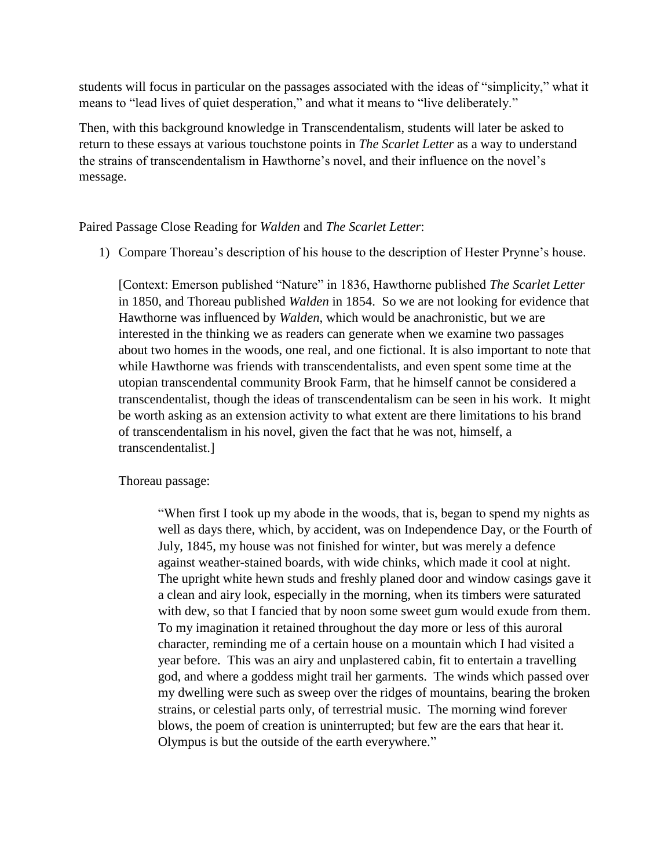students will focus in particular on the passages associated with the ideas of "simplicity," what it means to "lead lives of quiet desperation," and what it means to "live deliberately."

Then, with this background knowledge in Transcendentalism, students will later be asked to return to these essays at various touchstone points in *The Scarlet Letter* as a way to understand the strains of transcendentalism in Hawthorne's novel, and their influence on the novel's message.

Paired Passage Close Reading for *Walden* and *The Scarlet Letter*:

1) Compare Thoreau's description of his house to the description of Hester Prynne's house.

[Context: Emerson published "Nature" in 1836, Hawthorne published *The Scarlet Letter* in 1850, and Thoreau published *Walden* in 1854. So we are not looking for evidence that Hawthorne was influenced by *Walden*, which would be anachronistic, but we are interested in the thinking we as readers can generate when we examine two passages about two homes in the woods, one real, and one fictional. It is also important to note that while Hawthorne was friends with transcendentalists, and even spent some time at the utopian transcendental community Brook Farm, that he himself cannot be considered a transcendentalist, though the ideas of transcendentalism can be seen in his work. It might be worth asking as an extension activity to what extent are there limitations to his brand of transcendentalism in his novel, given the fact that he was not, himself, a transcendentalist.]

Thoreau passage:

"When first I took up my abode in the woods, that is, began to spend my nights as well as days there, which, by accident, was on Independence Day, or the Fourth of July, 1845, my house was not finished for winter, but was merely a defence against weather-stained boards, with wide chinks, which made it cool at night. The upright white hewn studs and freshly planed door and window casings gave it a clean and airy look, especially in the morning, when its timbers were saturated with dew, so that I fancied that by noon some sweet gum would exude from them. To my imagination it retained throughout the day more or less of this auroral character, reminding me of a certain house on a mountain which I had visited a year before. This was an airy and unplastered cabin, fit to entertain a travelling god, and where a goddess might trail her garments. The winds which passed over my dwelling were such as sweep over the ridges of mountains, bearing the broken strains, or celestial parts only, of terrestrial music. The morning wind forever blows, the poem of creation is uninterrupted; but few are the ears that hear it. Olympus is but the outside of the earth everywhere."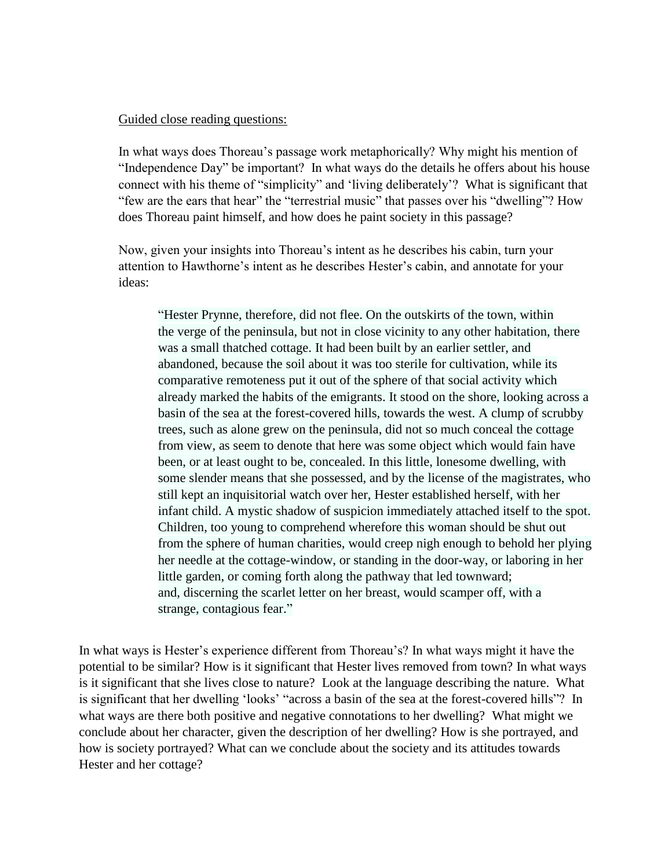#### Guided close reading questions:

In what ways does Thoreau's passage work metaphorically? Why might his mention of "Independence Day" be important? In what ways do the details he offers about his house connect with his theme of "simplicity" and 'living deliberately'? What is significant that "few are the ears that hear" the "terrestrial music" that passes over his "dwelling"? How does Thoreau paint himself, and how does he paint society in this passage?

Now, given your insights into Thoreau's intent as he describes his cabin, turn your attention to Hawthorne's intent as he describes Hester's cabin, and annotate for your ideas:

"Hester [Prynne,](http://www.eldritchpress.org/nh/sl05.html#g04) therefore, did not flee. On the outskirts of the town, within the [verge](http://www.eldritchpress.org/nh/nhg.html#verge) of the peninsula, but not in close vicinity to any other habitation, there was a small thatched cottage. It had been built by an earlier settler, and abandoned, because the soil about it was too sterile for cultivation, while its comparative remoteness put it out of the sphere of that social activity which already marked the habits of [the emigrants.](http://www.eldritchpress.org/nh/sl05-n.html#emigrants) It stood on the shore, looking across a basin of the sea at the forest-covered hills, towards the west. A clump of scrubby trees, such as alone grew on the peninsula, did not so much conceal the cottage from view, as seem to denote that here was some object which would [fain](http://www.eldritchpress.org/nh/nhg.html#fain) have been, or at least ought to be, concealed. In this little, lonesome dwelling, with some slender means that she possessed, and by the [license](http://www.eldritchpress.org/nh/nhg.html#licence) of the magistrates, who still kept an [inquisitorial](http://www.eldritchpress.org/nh/nhg.html#inquisitorial) watch over her, Hester established herself, with her infant child. A mystic shadow of suspicion immediately attached itself to the spot. Children, too young to comprehend wherefore this woman should be shut out from the sphere of human charities, would creep [nigh](http://www.eldritchpress.org/nh/nhg.html#nigh) enough to behold her plying her needle at the cottage-window, or standing in the door-way, or laboring in her little garden, or coming forth along the pathway that led townward; and, [discerning](http://www.eldritchpress.org/nh/nhg.html#discerning) the scarlet letter on her breast, would [scamper](http://www.eldritchpress.org/nh/nhg.html#scamper) off, with a strange, [contagious](http://www.eldritchpress.org/nh/nhg.html#contagious) fear."

In what ways is Hester's experience different from Thoreau's? In what ways might it have the potential to be similar? How is it significant that Hester lives removed from town? In what ways is it significant that she lives close to nature? Look at the language describing the nature. What is significant that her dwelling 'looks' "across a basin of the sea at the forest-covered hills"? In what ways are there both positive and negative connotations to her dwelling? What might we conclude about her character, given the description of her dwelling? How is she portrayed, and how is society portrayed? What can we conclude about the society and its attitudes towards Hester and her cottage?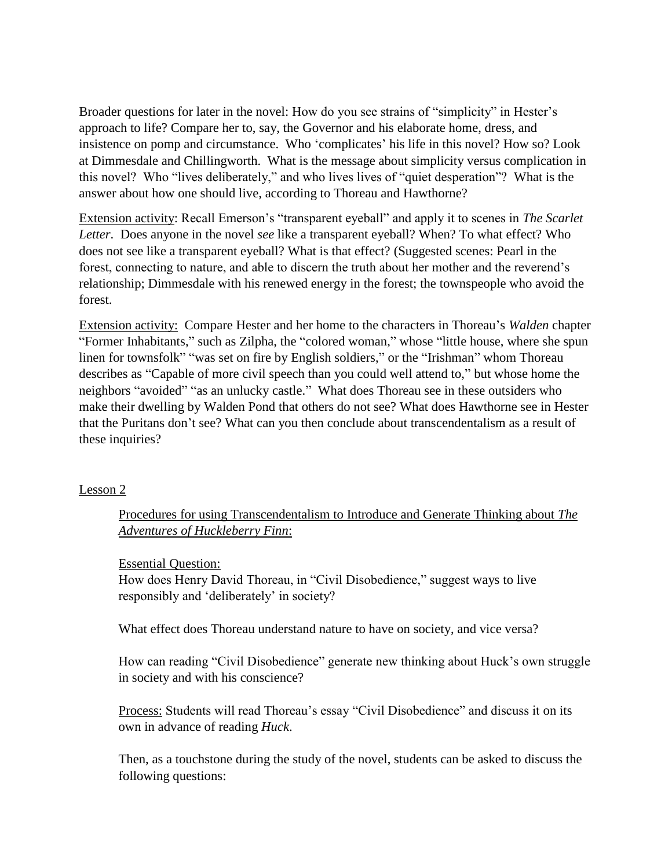Broader questions for later in the novel: How do you see strains of "simplicity" in Hester's approach to life? Compare her to, say, the Governor and his elaborate home, dress, and insistence on pomp and circumstance. Who 'complicates' his life in this novel? How so? Look at Dimmesdale and Chillingworth. What is the message about simplicity versus complication in this novel? Who "lives deliberately," and who lives lives of "quiet desperation"? What is the answer about how one should live, according to Thoreau and Hawthorne?

Extension activity: Recall Emerson's "transparent eyeball" and apply it to scenes in *The Scarlet Letter*. Does anyone in the novel *see* like a transparent eyeball? When? To what effect? Who does not see like a transparent eyeball? What is that effect? (Suggested scenes: Pearl in the forest, connecting to nature, and able to discern the truth about her mother and the reverend's relationship; Dimmesdale with his renewed energy in the forest; the townspeople who avoid the forest.

Extension activity: Compare Hester and her home to the characters in Thoreau's *Walden* chapter "Former Inhabitants," such as Zilpha, the "colored woman," whose "little house, where she spun linen for townsfolk" "was set on fire by English soldiers," or the "Irishman" whom Thoreau describes as "Capable of more civil speech than you could well attend to," but whose home the neighbors "avoided" "as an unlucky castle." What does Thoreau see in these outsiders who make their dwelling by Walden Pond that others do not see? What does Hawthorne see in Hester that the Puritans don't see? What can you then conclude about transcendentalism as a result of these inquiries?

### Lesson 2

Procedures for using Transcendentalism to Introduce and Generate Thinking about *The Adventures of Huckleberry Finn*:

Essential Question:

How does Henry David Thoreau, in "Civil Disobedience," suggest ways to live responsibly and 'deliberately' in society?

What effect does Thoreau understand nature to have on society, and vice versa?

How can reading "Civil Disobedience" generate new thinking about Huck's own struggle in society and with his conscience?

Process: Students will read Thoreau's essay "Civil Disobedience" and discuss it on its own in advance of reading *Huck*.

Then, as a touchstone during the study of the novel, students can be asked to discuss the following questions: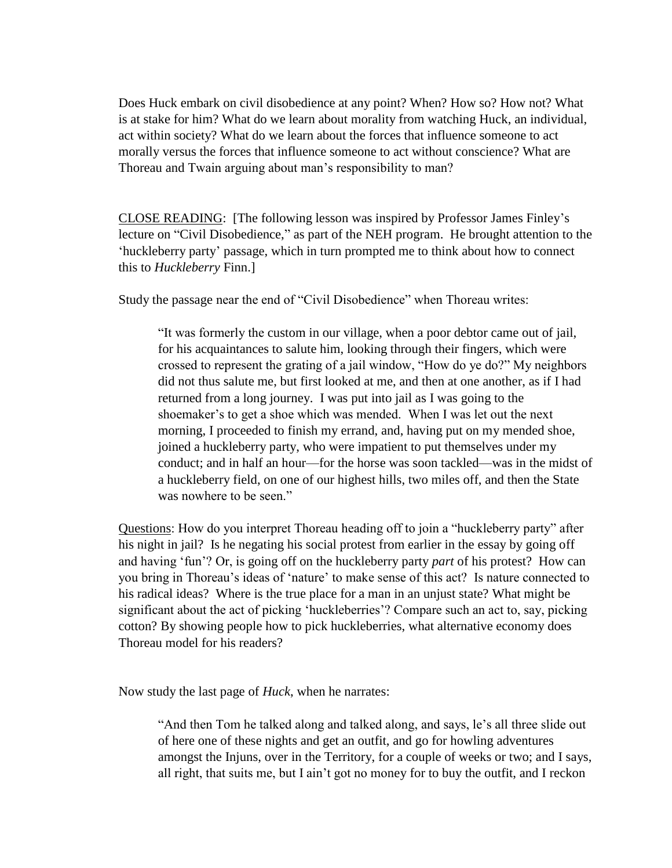Does Huck embark on civil disobedience at any point? When? How so? How not? What is at stake for him? What do we learn about morality from watching Huck, an individual, act within society? What do we learn about the forces that influence someone to act morally versus the forces that influence someone to act without conscience? What are Thoreau and Twain arguing about man's responsibility to man?

CLOSE READING: [The following lesson was inspired by Professor James Finley's lecture on "Civil Disobedience," as part of the NEH program. He brought attention to the 'huckleberry party' passage, which in turn prompted me to think about how to connect this to *Huckleberry* Finn.]

Study the passage near the end of "Civil Disobedience" when Thoreau writes:

"It was formerly the custom in our village, when a poor debtor came out of jail, for his acquaintances to salute him, looking through their fingers, which were crossed to represent the grating of a jail window, "How do ye do?" My neighbors did not thus salute me, but first looked at me, and then at one another, as if I had returned from a long journey. I was put into jail as I was going to the shoemaker's to get a shoe which was mended. When I was let out the next morning, I proceeded to finish my errand, and, having put on my mended shoe, joined a huckleberry party, who were impatient to put themselves under my conduct; and in half an hour—for the horse was soon tackled—was in the midst of a huckleberry field, on one of our highest hills, two miles off, and then the State was nowhere to be seen."

Questions: How do you interpret Thoreau heading off to join a "huckleberry party" after his night in jail? Is he negating his social protest from earlier in the essay by going off and having 'fun'? Or, is going off on the huckleberry party *part* of his protest? How can you bring in Thoreau's ideas of 'nature' to make sense of this act? Is nature connected to his radical ideas? Where is the true place for a man in an unjust state? What might be significant about the act of picking 'huckleberries'? Compare such an act to, say, picking cotton? By showing people how to pick huckleberries, what alternative economy does Thoreau model for his readers?

Now study the last page of *Huck*, when he narrates:

"And then Tom he talked along and talked along, and says, le's all three slide out of here one of these nights and get an outfit, and go for howling adventures amongst the Injuns, over in the Territory, for a couple of weeks or two; and I says, all right, that suits me, but I ain't got no money for to buy the outfit, and I reckon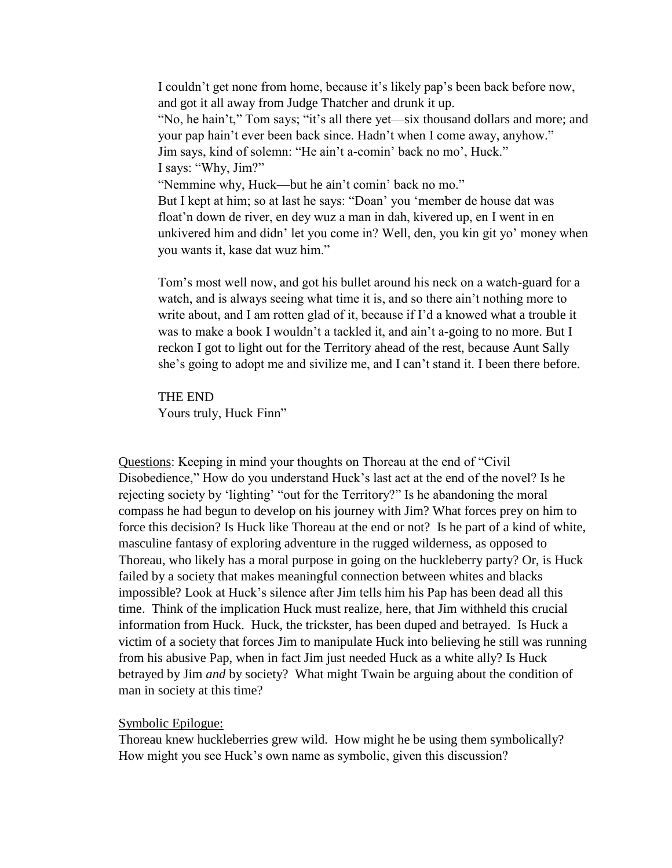I couldn't get none from home, because it's likely pap's been back before now, and got it all away from Judge Thatcher and drunk it up. "No, he hain't," Tom says; "it's all there yet—six thousand dollars and more; and your pap hain't ever been back since. Hadn't when I come away, anyhow." Jim says, kind of solemn: "He ain't a-comin' back no mo', Huck." I says: "Why, Jim?" "Nemmine why, Huck—but he ain't comin' back no mo." But I kept at him; so at last he says: "Doan' you 'member de house dat was float'n down de river, en dey wuz a man in dah, kivered up, en I went in en unkivered him and didn' let you come in? Well, den, you kin git yo' money when you wants it, kase dat wuz him."

Tom's most well now, and got his bullet around his neck on a watch-guard for a watch, and is always seeing what time it is, and so there ain't nothing more to write about, and I am rotten glad of it, because if I'd a knowed what a trouble it was to make a book I wouldn't a tackled it, and ain't a-going to no more. But I reckon I got to light out for the Territory ahead of the rest, because Aunt Sally she's going to adopt me and sivilize me, and I can't stand it. I been there before.

THE END Yours truly, Huck Finn"

Questions: Keeping in mind your thoughts on Thoreau at the end of "Civil Disobedience," How do you understand Huck's last act at the end of the novel? Is he rejecting society by 'lighting' "out for the Territory?" Is he abandoning the moral compass he had begun to develop on his journey with Jim? What forces prey on him to force this decision? Is Huck like Thoreau at the end or not? Is he part of a kind of white, masculine fantasy of exploring adventure in the rugged wilderness, as opposed to Thoreau, who likely has a moral purpose in going on the huckleberry party? Or, is Huck failed by a society that makes meaningful connection between whites and blacks impossible? Look at Huck's silence after Jim tells him his Pap has been dead all this time. Think of the implication Huck must realize, here, that Jim withheld this crucial information from Huck. Huck, the trickster, has been duped and betrayed. Is Huck a victim of a society that forces Jim to manipulate Huck into believing he still was running from his abusive Pap, when in fact Jim just needed Huck as a white ally? Is Huck betrayed by Jim *and* by society? What might Twain be arguing about the condition of man in society at this time?

#### Symbolic Epilogue:

Thoreau knew huckleberries grew wild. How might he be using them symbolically? How might you see Huck's own name as symbolic, given this discussion?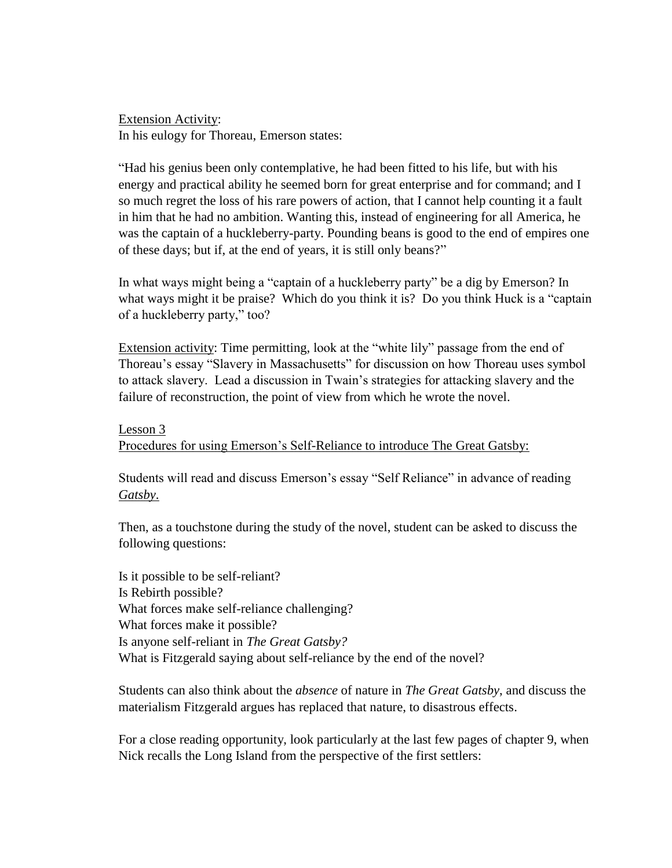Extension Activity: In his eulogy for Thoreau, Emerson states:

"Had his genius been only contemplative, he had been fitted to his life, but with his energy and practical ability he seemed born for great enterprise and for command; and I so much regret the loss of his rare powers of action, that I cannot help counting it a fault in him that he had no ambition. Wanting this, instead of engineering for all America, he was the captain of a huckleberry-party. Pounding beans is good to the end of empires one of these days; but if, at the end of years, it is still only beans?"

In what ways might being a "captain of a huckleberry party" be a dig by Emerson? In what ways might it be praise? Which do you think it is? Do you think Huck is a "captain" of a huckleberry party," too?

Extension activity: Time permitting, look at the "white lily" passage from the end of Thoreau's essay "Slavery in Massachusetts" for discussion on how Thoreau uses symbol to attack slavery. Lead a discussion in Twain's strategies for attacking slavery and the failure of reconstruction, the point of view from which he wrote the novel.

Lesson 3

Procedures for using Emerson's Self-Reliance to introduce The Great Gatsby:

Students will read and discuss Emerson's essay "Self Reliance" in advance of reading *Gatsby*.

Then, as a touchstone during the study of the novel, student can be asked to discuss the following questions:

Is it possible to be self-reliant? Is Rebirth possible? What forces make self-reliance challenging? What forces make it possible? Is anyone self-reliant in *The Great Gatsby?* What is Fitzgerald saying about self-reliance by the end of the novel?

Students can also think about the *absence* of nature in *The Great Gatsby*, and discuss the materialism Fitzgerald argues has replaced that nature, to disastrous effects.

For a close reading opportunity, look particularly at the last few pages of chapter 9, when Nick recalls the Long Island from the perspective of the first settlers: